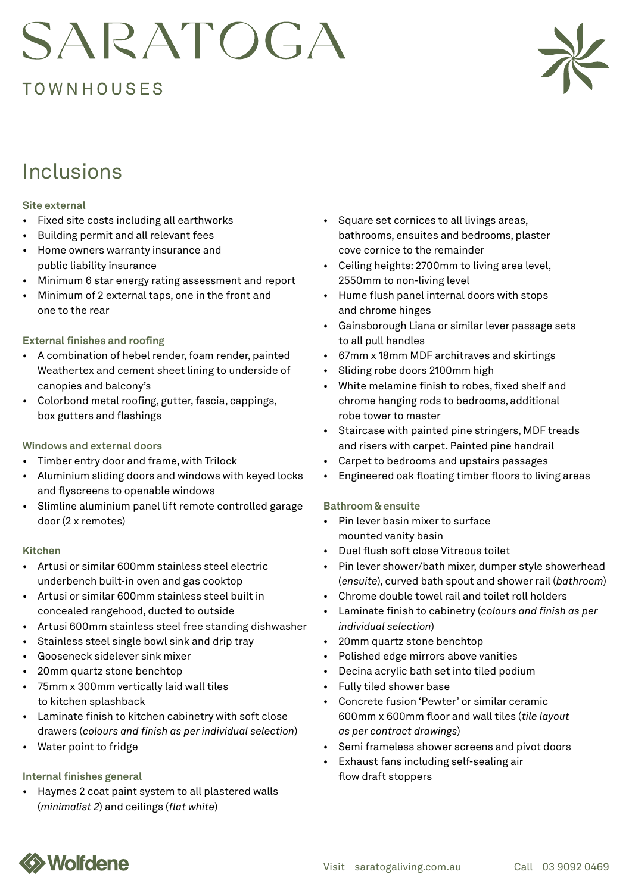# SARATOGA

## **TOWNHOUSES**



## Inclusions

## **Site external**

- Fixed site costs including all earthworks
- Building permit and all relevant fees
- Home owners warranty insurance and public liability insurance
- Minimum 6 star energy rating assessment and report
- Minimum of 2 external taps, one in the front and one to the rear

## **External finishes and roofing**

- A combination of hebel render, foam render, painted Weathertex and cement sheet lining to underside of canopies and balcony's
- Colorbond metal roofing, gutter, fascia, cappings, box gutters and flashings

## **Windows and external doors**

- Timber entry door and frame, with Trilock
- Aluminium sliding doors and windows with keyed locks and flyscreens to openable windows
- Slimline aluminium panel lift remote controlled garage door (2 x remotes)

## **Kitchen**

- Artusi or similar 600mm stainless steel electric underbench built-in oven and gas cooktop
- Artusi or similar 600mm stainless steel built in concealed rangehood, ducted to outside
- Artusi 600mm stainless steel free standing dishwasher
- Stainless steel single bowl sink and drip tray
- Gooseneck sidelever sink mixer
- 20mm quartz stone benchtop
- 75mm x 300mm vertically laid wall tiles to kitchen splashback
- Laminate finish to kitchen cabinetry with soft close drawers (*colours and finish as per individual selection*)
- Water point to fridge

## **Internal finishes general**

• Haymes 2 coat paint system to all plastered walls (*minimalist 2*) and ceilings (*flat white*)

- Square set cornices to all livings areas, bathrooms, ensuites and bedrooms, plaster cove cornice to the remainder
- Ceiling heights: 2700mm to living area level, 2550mm to non-living level
- Hume flush panel internal doors with stops and chrome hinges
- Gainsborough Liana or similar lever passage sets to all pull handles
- 67mm x 18mm MDF architraves and skirtings
- Sliding robe doors 2100mm high
- White melamine finish to robes, fixed shelf and chrome hanging rods to bedrooms, additional robe tower to master
- Staircase with painted pine stringers, MDF treads and risers with carpet. Painted pine handrail
- Carpet to bedrooms and upstairs passages
- Engineered oak floating timber floors to living areas

## **Bathroom & ensuite**

- Pin lever basin mixer to surface mounted vanity basin
- Duel flush soft close Vitreous toilet
- Pin lever shower/bath mixer, dumper style showerhead (*ensuite*), curved bath spout and shower rail (*bathroom*)
- Chrome double towel rail and toilet roll holders
- Laminate finish to cabinetry (*colours and finish as per individual selection*)
- 20mm quartz stone benchtop
- Polished edge mirrors above vanities
- Decina acrylic bath set into tiled podium
- Fully tiled shower base
- Concrete fusion 'Pewter' or similar ceramic 600mm x 600mm floor and wall tiles (*tile layout as per contract drawings*)
- Semi frameless shower screens and pivot doors
- Exhaust fans including self-sealing air flow draft stoppers